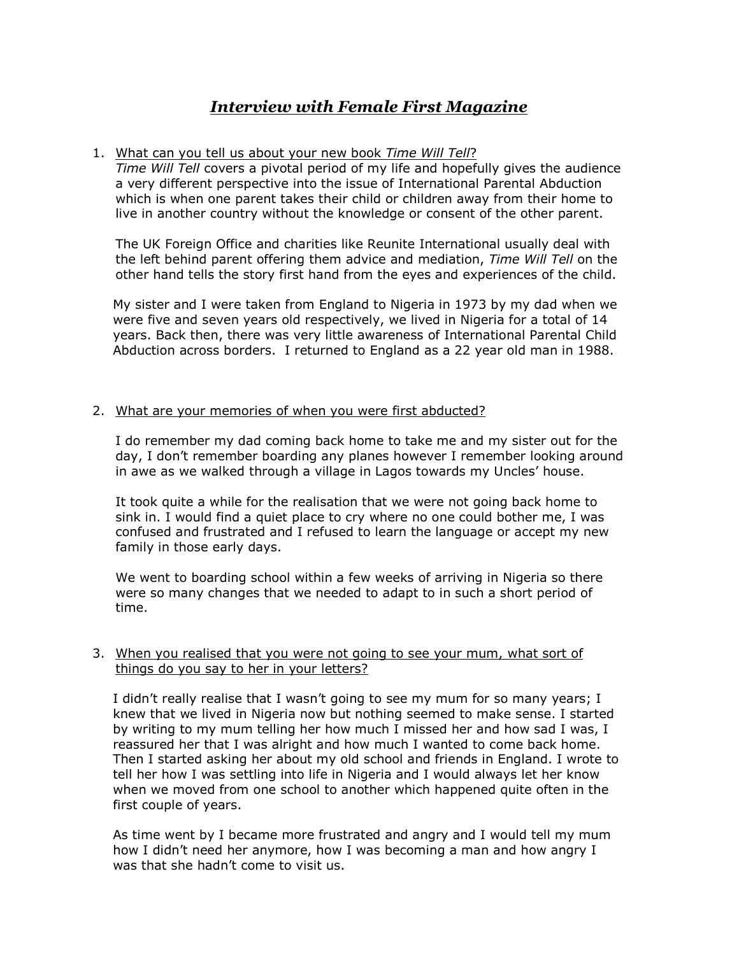# *Interview with Female First Magazine*

## 1. What can you tell us about your new book *Time Will Tell*?

*Time Will Tell* covers a pivotal period of my life and hopefully gives the audience a very different perspective into the issue of International Parental Abduction which is when one parent takes their child or children away from their home to live in another country without the knowledge or consent of the other parent.

The UK Foreign Office and charities like Reunite International usually deal with the left behind parent offering them advice and mediation, *Time Will Tell* on the other hand tells the story first hand from the eyes and experiences of the child.

My sister and I were taken from England to Nigeria in 1973 by my dad when we were five and seven years old respectively, we lived in Nigeria for a total of 14 years. Back then, there was very little awareness of International Parental Child Abduction across borders. I returned to England as a 22 year old man in 1988.

## 2. What are your memories of when you were first abducted?

I do remember my dad coming back home to take me and my sister out for the day, I don't remember boarding any planes however I remember looking around in awe as we walked through a village in Lagos towards my Uncles' house.

It took quite a while for the realisation that we were not going back home to sink in. I would find a quiet place to cry where no one could bother me, I was confused and frustrated and I refused to learn the language or accept my new family in those early days.

We went to boarding school within a few weeks of arriving in Nigeria so there were so many changes that we needed to adapt to in such a short period of time.

## 3. When you realised that you were not going to see your mum, what sort of things do you say to her in your letters?

I didn't really realise that I wasn't going to see my mum for so many years; I knew that we lived in Nigeria now but nothing seemed to make sense. I started by writing to my mum telling her how much I missed her and how sad I was, I reassured her that I was alright and how much I wanted to come back home. Then I started asking her about my old school and friends in England. I wrote to tell her how I was settling into life in Nigeria and I would always let her know when we moved from one school to another which happened quite often in the first couple of years.

As time went by I became more frustrated and angry and I would tell my mum how I didn't need her anymore, how I was becoming a man and how angry I was that she hadn't come to visit us.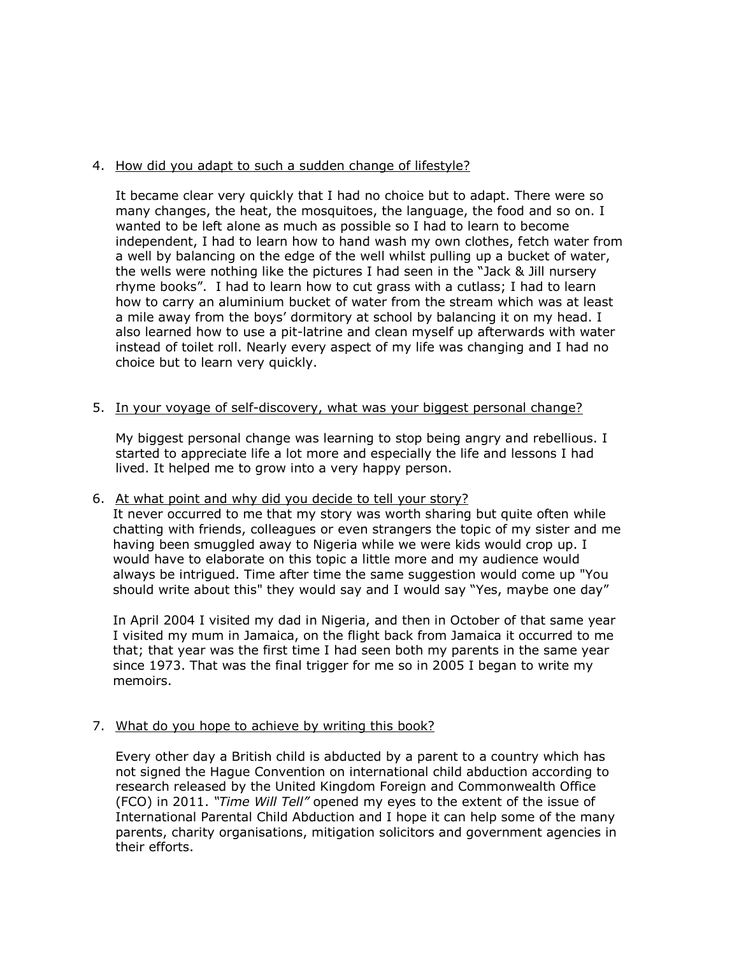## 4. How did you adapt to such a sudden change of lifestyle?

It became clear very quickly that I had no choice but to adapt. There were so many changes, the heat, the mosquitoes, the language, the food and so on. I wanted to be left alone as much as possible so I had to learn to become independent, I had to learn how to hand wash my own clothes, fetch water from a well by balancing on the edge of the well whilst pulling up a bucket of water, the wells were nothing like the pictures I had seen in the "Jack & Jill nursery rhyme books". I had to learn how to cut grass with a cutlass; I had to learn how to carry an aluminium bucket of water from the stream which was at least a mile away from the boys' dormitory at school by balancing it on my head. I also learned how to use a pit-latrine and clean myself up afterwards with water instead of toilet roll. Nearly every aspect of my life was changing and I had no choice but to learn very quickly.

#### 5. In your voyage of self-discovery, what was your biggest personal change?

My biggest personal change was learning to stop being angry and rebellious. I started to appreciate life a lot more and especially the life and lessons I had lived. It helped me to grow into a very happy person.

#### 6. At what point and why did you decide to tell your story?

It never occurred to me that my story was worth sharing but quite often while chatting with friends, colleagues or even strangers the topic of my sister and me having been smuggled away to Nigeria while we were kids would crop up. I would have to elaborate on this topic a little more and my audience would always be intrigued. Time after time the same suggestion would come up "You should write about this" they would say and I would say "Yes, maybe one day"

In April 2004 I visited my dad in Nigeria, and then in October of that same year I visited my mum in Jamaica, on the flight back from Jamaica it occurred to me that; that year was the first time I had seen both my parents in the same year since 1973. That was the final trigger for me so in 2005 I began to write my memoirs.

#### 7. What do you hope to achieve by writing this book?

Every other day a British child is abducted by a parent to a country which has not signed the Hague Convention on international child abduction according to research released by the United Kingdom Foreign and Commonwealth Office (FCO) in 2011. *"Time Will Tell"* opened my eyes to the extent of the issue of International Parental Child Abduction and I hope it can help some of the many parents, charity organisations, mitigation solicitors and government agencies in their efforts.